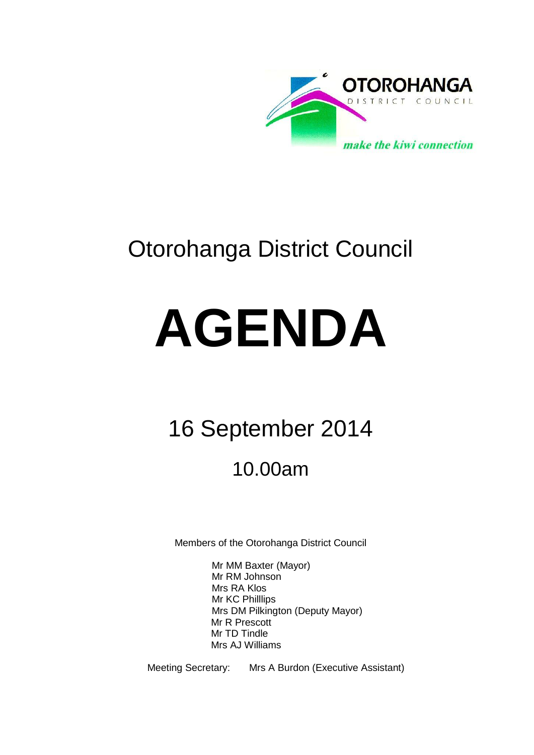

# Otorohanga District Council

# **AGENDA**

# 16 September 2014

# 10.00am

Members of the Otorohanga District Council

Mr MM Baxter (Mayor) Mr RM Johnson Mrs RA Klos Mr KC Philllips Mrs DM Pilkington (Deputy Mayor) Mr R Prescott Mr TD Tindle Mrs AJ Williams

Meeting Secretary: Mrs A Burdon (Executive Assistant)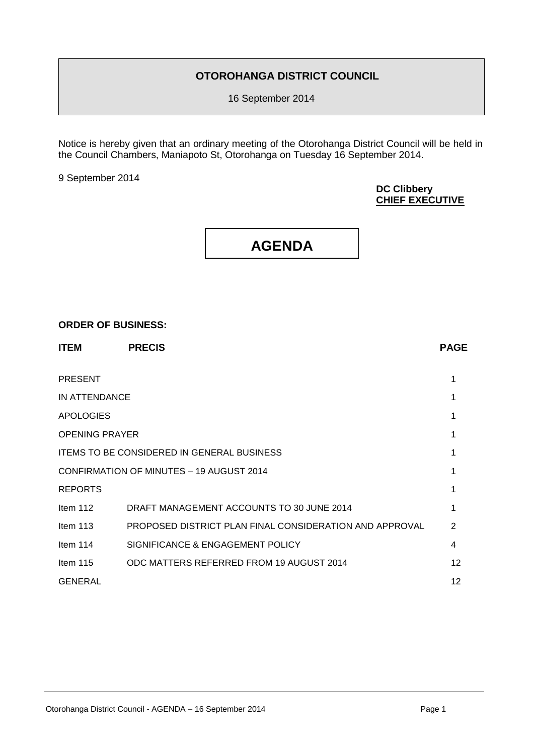#### **OTOROHANGA DISTRICT COUNCIL**

16 September 2014

Notice is hereby given that an ordinary meeting of the Otorohanga District Council will be held in the Council Chambers, Maniapoto St, Otorohanga on Tuesday 16 September 2014.

9 September 2014

#### **DC Clibbery CHIEF EXECUTIVE**

## **AGENDA**

#### **ORDER OF BUSINESS:**

| <b>ITEM</b>           | <b>PRECIS</b>                                           | <b>PAGE</b>       |
|-----------------------|---------------------------------------------------------|-------------------|
| <b>PRESENT</b>        |                                                         | 1                 |
| IN ATTENDANCE         |                                                         |                   |
| <b>APOLOGIES</b>      |                                                         |                   |
| <b>OPENING PRAYER</b> |                                                         |                   |
|                       | <b>ITEMS TO BE CONSIDERED IN GENERAL BUSINESS</b>       |                   |
|                       | CONFIRMATION OF MINUTES - 19 AUGUST 2014                |                   |
| <b>REPORTS</b>        |                                                         |                   |
| Item $112$            | DRAFT MANAGEMENT ACCOUNTS TO 30 JUNE 2014               |                   |
| Item $113$            | PROPOSED DISTRICT PLAN FINAL CONSIDERATION AND APPROVAL | 2                 |
| Item 114              | SIGNIFICANCE & ENGAGEMENT POLICY                        | 4                 |
| Item $115$            | ODC MATTERS REFERRED FROM 19 AUGUST 2014                | $12 \overline{ }$ |
| <b>GENERAL</b>        |                                                         | 12                |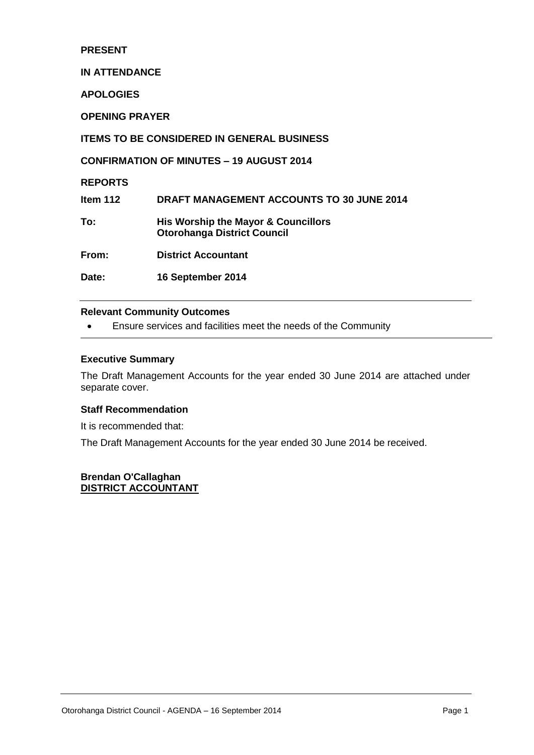#### **PRESENT**

#### **IN ATTENDANCE**

**APOLOGIES**

**OPENING PRAYER**

**ITEMS TO BE CONSIDERED IN GENERAL BUSINESS**

**CONFIRMATION OF MINUTES – 19 AUGUST 2014**

#### **REPORTS**

**Item 112 DRAFT MANAGEMENT ACCOUNTS TO 30 JUNE 2014 To: His Worship the Mayor & Councillors** 

**Otorohanga District Council**

**From: District Accountant**

**Date: 16 September 2014**

#### **Relevant Community Outcomes**

Ensure services and facilities meet the needs of the Community

#### **Executive Summary**

The Draft Management Accounts for the year ended 30 June 2014 are attached under separate cover.

#### **Staff Recommendation**

It is recommended that:

The Draft Management Accounts for the year ended 30 June 2014 be received.

#### **Brendan O'Callaghan DISTRICT ACCOUNTANT**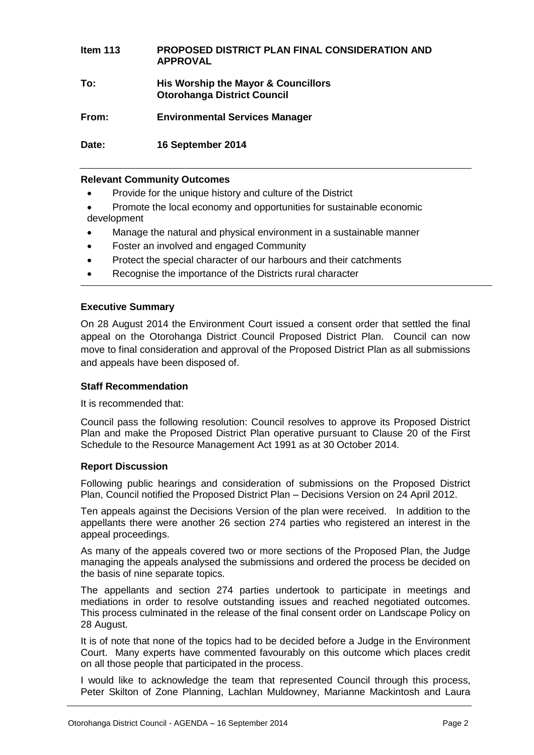| Item $113$ | PROPOSED DISTRICT PLAN FINAL CONSIDERATION AND<br><b>APPROVAL</b>         |
|------------|---------------------------------------------------------------------------|
| To:        | His Worship the Mayor & Councillors<br><b>Otorohanga District Council</b> |
| From:      | <b>Environmental Services Manager</b>                                     |
| Date:      | 16 September 2014                                                         |

#### **Relevant Community Outcomes**

- Provide for the unique history and culture of the District
- Promote the local economy and opportunities for sustainable economic development
- Manage the natural and physical environment in a sustainable manner
- Foster an involved and engaged Community
- Protect the special character of our harbours and their catchments
- Recognise the importance of the Districts rural character

#### **Executive Summary**

On 28 August 2014 the Environment Court issued a consent order that settled the final appeal on the Otorohanga District Council Proposed District Plan. Council can now move to final consideration and approval of the Proposed District Plan as all submissions and appeals have been disposed of.

#### **Staff Recommendation**

It is recommended that:

Council pass the following resolution: Council resolves to approve its Proposed District Plan and make the Proposed District Plan operative pursuant to Clause 20 of the First Schedule to the Resource Management Act 1991 as at 30 October 2014.

#### **Report Discussion**

Following public hearings and consideration of submissions on the Proposed District Plan, Council notified the Proposed District Plan – Decisions Version on 24 April 2012.

Ten appeals against the Decisions Version of the plan were received. In addition to the appellants there were another 26 section 274 parties who registered an interest in the appeal proceedings.

As many of the appeals covered two or more sections of the Proposed Plan, the Judge managing the appeals analysed the submissions and ordered the process be decided on the basis of nine separate topics.

The appellants and section 274 parties undertook to participate in meetings and mediations in order to resolve outstanding issues and reached negotiated outcomes. This process culminated in the release of the final consent order on Landscape Policy on 28 August.

It is of note that none of the topics had to be decided before a Judge in the Environment Court. Many experts have commented favourably on this outcome which places credit on all those people that participated in the process.

I would like to acknowledge the team that represented Council through this process, Peter Skilton of Zone Planning, Lachlan Muldowney, Marianne Mackintosh and Laura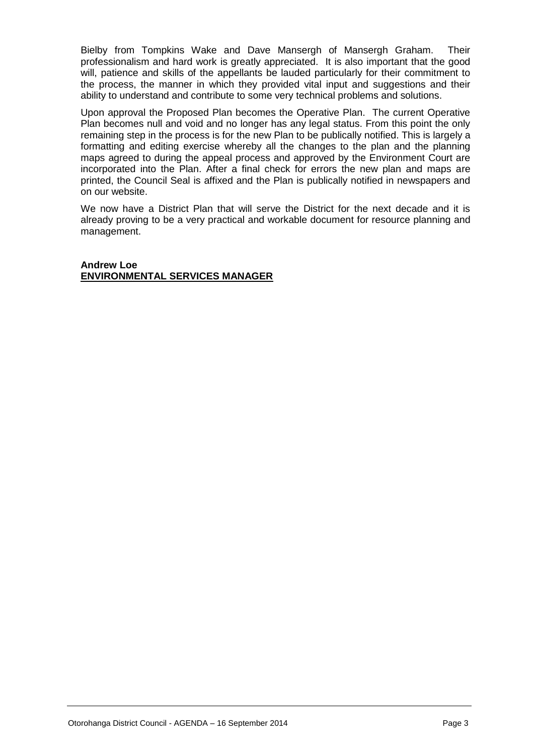Bielby from Tompkins Wake and Dave Mansergh of Mansergh Graham. Their professionalism and hard work is greatly appreciated. It is also important that the good will, patience and skills of the appellants be lauded particularly for their commitment to the process, the manner in which they provided vital input and suggestions and their ability to understand and contribute to some very technical problems and solutions.

Upon approval the Proposed Plan becomes the Operative Plan. The current Operative Plan becomes null and void and no longer has any legal status. From this point the only remaining step in the process is for the new Plan to be publically notified. This is largely a formatting and editing exercise whereby all the changes to the plan and the planning maps agreed to during the appeal process and approved by the Environment Court are incorporated into the Plan. After a final check for errors the new plan and maps are printed, the Council Seal is affixed and the Plan is publically notified in newspapers and on our website.

We now have a District Plan that will serve the District for the next decade and it is already proving to be a very practical and workable document for resource planning and management.

**Andrew Loe ENVIRONMENTAL SERVICES MANAGER**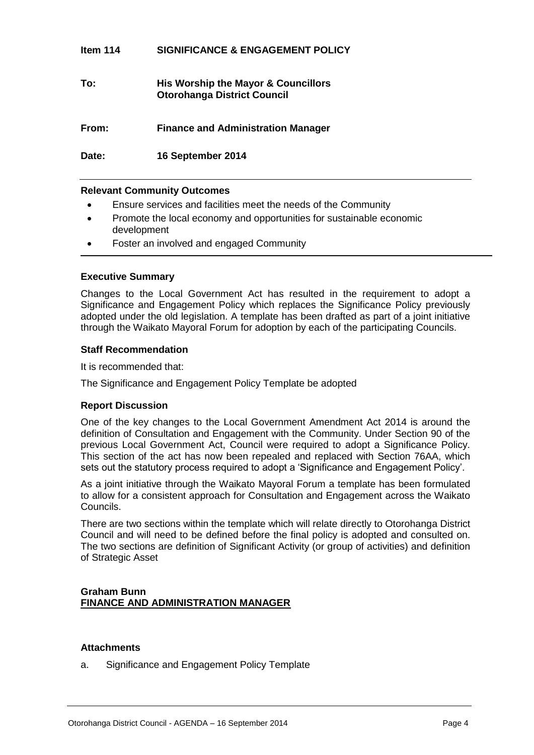#### **Item 114 SIGNIFICANCE & ENGAGEMENT POLICY**

#### **To: His Worship the Mayor & Councillors Otorohanga District Council**

**From: Finance and Administration Manager**

**Date: 16 September 2014**

#### **Relevant Community Outcomes**

- Ensure services and facilities meet the needs of the Community
- Promote the local economy and opportunities for sustainable economic development
- Foster an involved and engaged Community

#### **Executive Summary**

Changes to the Local Government Act has resulted in the requirement to adopt a Significance and Engagement Policy which replaces the Significance Policy previously adopted under the old legislation. A template has been drafted as part of a joint initiative through the Waikato Mayoral Forum for adoption by each of the participating Councils.

#### **Staff Recommendation**

It is recommended that:

The Significance and Engagement Policy Template be adopted

#### **Report Discussion**

One of the key changes to the Local Government Amendment Act 2014 is around the definition of Consultation and Engagement with the Community. Under Section 90 of the previous Local Government Act, Council were required to adopt a Significance Policy. This section of the act has now been repealed and replaced with Section 76AA, which sets out the statutory process required to adopt a 'Significance and Engagement Policy'.

As a joint initiative through the Waikato Mayoral Forum a template has been formulated to allow for a consistent approach for Consultation and Engagement across the Waikato Councils.

There are two sections within the template which will relate directly to Otorohanga District Council and will need to be defined before the final policy is adopted and consulted on. The two sections are definition of Significant Activity (or group of activities) and definition of Strategic Asset

#### **Graham Bunn FINANCE AND ADMINISTRATION MANAGER**

#### **Attachments**

a. Significance and Engagement Policy Template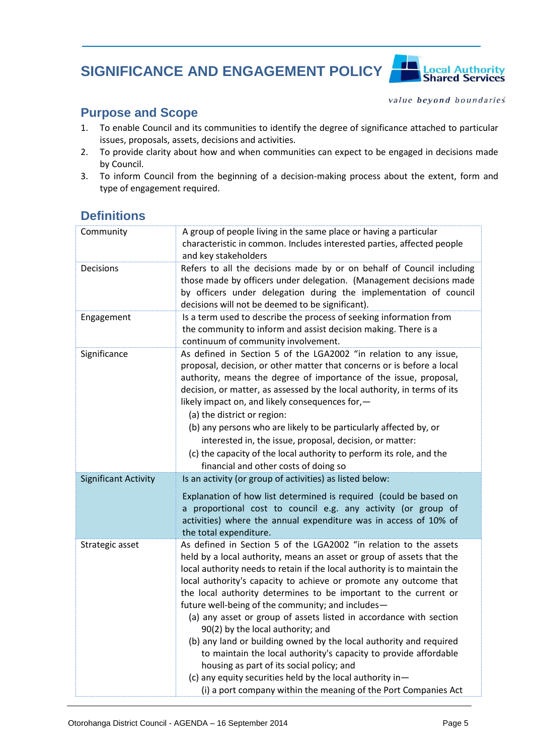# **SIGNIFICANCE AND ENGAGEMENT POLICY**



**Local Authority**<br>**Shared Services** 

#### **Purpose and Scope**

- 1. To enable Council and its communities to identify the degree of significance attached to particular issues, proposals, assets, decisions and activities.
- 2. To provide clarity about how and when communities can expect to be engaged in decisions made by Council.
- 3. To inform Council from the beginning of a decision-making process about the extent, form and type of engagement required.

### **Definitions**

| Community                   | A group of people living in the same place or having a particular<br>characteristic in common. Includes interested parties, affected people<br>and key stakeholders                                                                                                                                                                                                                                                                                                                                                                                                                                                                                                                                                                                                                                                                                     |
|-----------------------------|---------------------------------------------------------------------------------------------------------------------------------------------------------------------------------------------------------------------------------------------------------------------------------------------------------------------------------------------------------------------------------------------------------------------------------------------------------------------------------------------------------------------------------------------------------------------------------------------------------------------------------------------------------------------------------------------------------------------------------------------------------------------------------------------------------------------------------------------------------|
| Decisions                   | Refers to all the decisions made by or on behalf of Council including<br>those made by officers under delegation. (Management decisions made<br>by officers under delegation during the implementation of council<br>decisions will not be deemed to be significant).                                                                                                                                                                                                                                                                                                                                                                                                                                                                                                                                                                                   |
| Engagement                  | Is a term used to describe the process of seeking information from<br>the community to inform and assist decision making. There is a<br>continuum of community involvement.                                                                                                                                                                                                                                                                                                                                                                                                                                                                                                                                                                                                                                                                             |
| Significance                | As defined in Section 5 of the LGA2002 "in relation to any issue,<br>proposal, decision, or other matter that concerns or is before a local<br>authority, means the degree of importance of the issue, proposal,<br>decision, or matter, as assessed by the local authority, in terms of its<br>likely impact on, and likely consequences for,-<br>(a) the district or region:<br>(b) any persons who are likely to be particularly affected by, or<br>interested in, the issue, proposal, decision, or matter:<br>(c) the capacity of the local authority to perform its role, and the<br>financial and other costs of doing so                                                                                                                                                                                                                        |
| <b>Significant Activity</b> | Is an activity (or group of activities) as listed below:                                                                                                                                                                                                                                                                                                                                                                                                                                                                                                                                                                                                                                                                                                                                                                                                |
|                             | Explanation of how list determined is required (could be based on<br>a proportional cost to council e.g. any activity (or group of<br>activities) where the annual expenditure was in access of 10% of<br>the total expenditure.                                                                                                                                                                                                                                                                                                                                                                                                                                                                                                                                                                                                                        |
| Strategic asset             | As defined in Section 5 of the LGA2002 "in relation to the assets<br>held by a local authority, means an asset or group of assets that the<br>local authority needs to retain if the local authority is to maintain the<br>local authority's capacity to achieve or promote any outcome that<br>the local authority determines to be important to the current or<br>future well-being of the community; and includes-<br>(a) any asset or group of assets listed in accordance with section<br>90(2) by the local authority; and<br>(b) any land or building owned by the local authority and required<br>to maintain the local authority's capacity to provide affordable<br>housing as part of its social policy; and<br>(c) any equity securities held by the local authority in-<br>(i) a port company within the meaning of the Port Companies Act |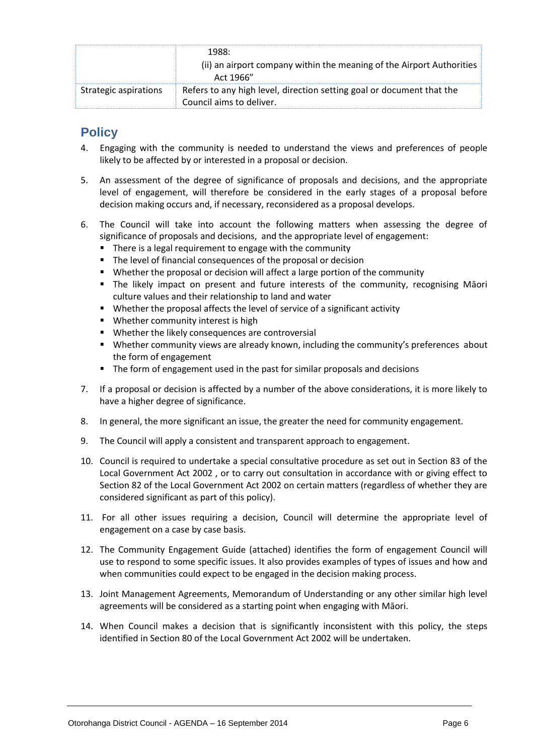|                       | 1988:<br>(ii) an airport company within the meaning of the Airport Authorities<br>Act 1966"       |
|-----------------------|---------------------------------------------------------------------------------------------------|
| Strategic aspirations | Refers to any high level, direction setting goal or document that the<br>Council aims to deliver. |

## **Policy**

- 4. Engaging with the community is needed to understand the views and preferences of people likely to be affected by or interested in a proposal or decision.
- 5. An assessment of the degree of significance of proposals and decisions, and the appropriate level of engagement, will therefore be considered in the early stages of a proposal before decision making occurs and, if necessary, reconsidered as a proposal develops.
- 6. The Council will take into account the following matters when assessing the degree of significance of proposals and decisions, and the appropriate level of engagement:
	- **There is a legal requirement to engage with the community**
	- The level of financial consequences of the proposal or decision
	- Whether the proposal or decision will affect a large portion of the community
	- The likely impact on present and future interests of the community, recognising Māori culture values and their relationship to land and water
	- Whether the proposal affects the level of service of a significant activity
	- **Whether community interest is high**
	- Whether the likely consequences are controversial
	- Whether community views are already known, including the community's preferences about the form of engagement
	- The form of engagement used in the past for similar proposals and decisions
- 7. If a proposal or decision is affected by a number of the above considerations, it is more likely to have a higher degree of significance.
- 8. In general, the more significant an issue, the greater the need for community engagement.
- 9. The Council will apply a consistent and transparent approach to engagement.
- 10. Council is required to undertake a special consultative procedure as set out in Section 83 of the Local Government Act 2002 , or to carry out consultation in accordance with or giving effect to Section 82 of the Local Government Act 2002 on certain matters (regardless of whether they are considered significant as part of this policy).
- 11. For all other issues requiring a decision, Council will determine the appropriate level of engagement on a case by case basis.
- 12. The Community Engagement Guide (attached) identifies the form of engagement Council will use to respond to some specific issues. It also provides examples of types of issues and how and when communities could expect to be engaged in the decision making process.
- 13. Joint Management Agreements, Memorandum of Understanding or any other similar high level agreements will be considered as a starting point when engaging with Māori.
- 14. When Council makes a decision that is significantly inconsistent with this policy, the steps identified in Section 80 of the Local Government Act 2002 will be undertaken.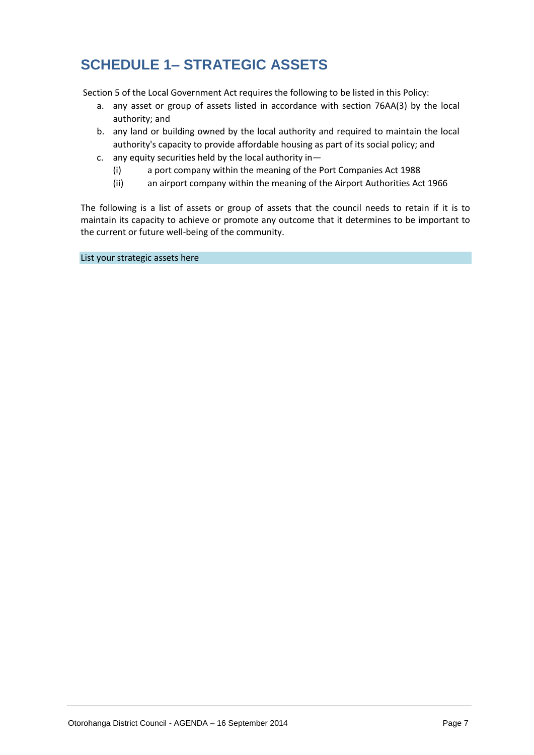# **SCHEDULE 1– STRATEGIC ASSETS**

Section 5 of the Local Government Act requires the following to be listed in this Policy:

- a. any asset or group of assets listed in accordance with section 76AA(3) by the local authority; and
- b. any land or building owned by the local authority and required to maintain the local authority's capacity to provide affordable housing as part of its social policy; and
- c. any equity securities held by the local authority in—
	- (i) a port company within the meaning of the Port Companies Act 1988
	- (ii) an airport company within the meaning of the Airport Authorities Act 1966

The following is a list of assets or group of assets that the council needs to retain if it is to maintain its capacity to achieve or promote any outcome that it determines to be important to the current or future well-being of the community.

List your strategic assets here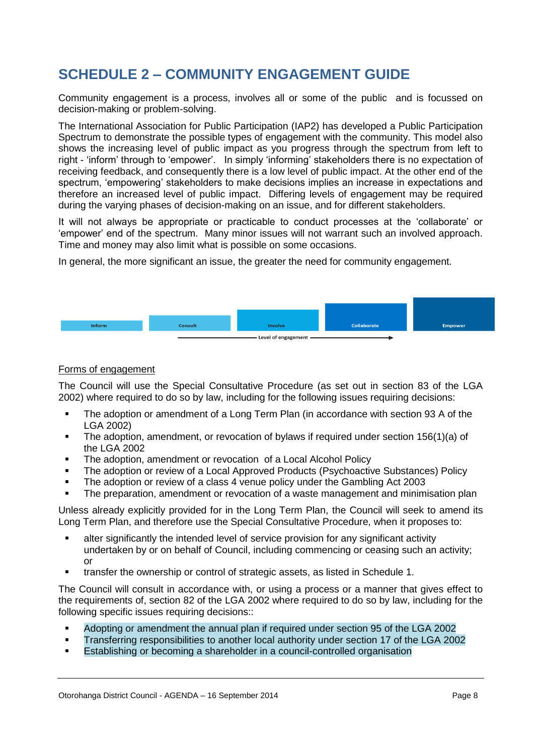# **SCHEDULE 2 – COMMUNITY ENGAGEMENT GUIDE**

Community engagement is a process, involves all or some of the public and is focussed on decision-making or problem-solving.

The International Association for Public Participation (IAP2) has developed a Public Participation Spectrum to demonstrate the possible types of engagement with the community. This model also shows the increasing level of public impact as you progress through the spectrum from left to right - 'inform' through to 'empower'. In simply 'informing' stakeholders there is no expectation of receiving feedback, and consequently there is a low level of public impact. At the other end of the spectrum, 'empowering' stakeholders to make decisions implies an increase in expectations and therefore an increased level of public impact. Differing levels of engagement may be required during the varying phases of decision-making on an issue, and for different stakeholders.

It will not always be appropriate or practicable to conduct processes at the 'collaborate' or 'empower' end of the spectrum. Many minor issues will not warrant such an involved approach. Time and money may also limit what is possible on some occasions.

In general, the more significant an issue, the greater the need for community engagement.



#### Forms of engagement

The Council will use the Special Consultative Procedure (as set out in section 83 of the LGA 2002) where required to do so by law, including for the following issues requiring decisions:

- The adoption or amendment of a Long Term Plan (in accordance with section 93 A of the LGA 2002)
- The adoption, amendment, or revocation of bylaws if required under section 156(1)(a) of the LGA 2002
- The adoption, amendment or revocation of a Local Alcohol Policy
- The adoption or review of a Local Approved Products (Psychoactive Substances) Policy
- The adoption or review of a class 4 venue policy under the Gambling Act 2003
- The preparation, amendment or revocation of a waste management and minimisation plan

Unless already explicitly provided for in the Long Term Plan, the Council will seek to amend its Long Term Plan, and therefore use the Special Consultative Procedure, when it proposes to:

- alter significantly the intended level of service provision for any significant activity undertaken by or on behalf of Council, including commencing or ceasing such an activity; or
- transfer the ownership or control of strategic assets, as listed in Schedule 1.

The Council will consult in accordance with, or using a process or a manner that gives effect to the requirements of, section 82 of the LGA 2002 where required to do so by law, including for the following specific issues requiring decisions::

- Adopting or amendment the annual plan if required under section 95 of the LGA 2002
- Transferring responsibilities to another local authority under section 17 of the LGA 2002
- Establishing or becoming a shareholder in a council-controlled organisation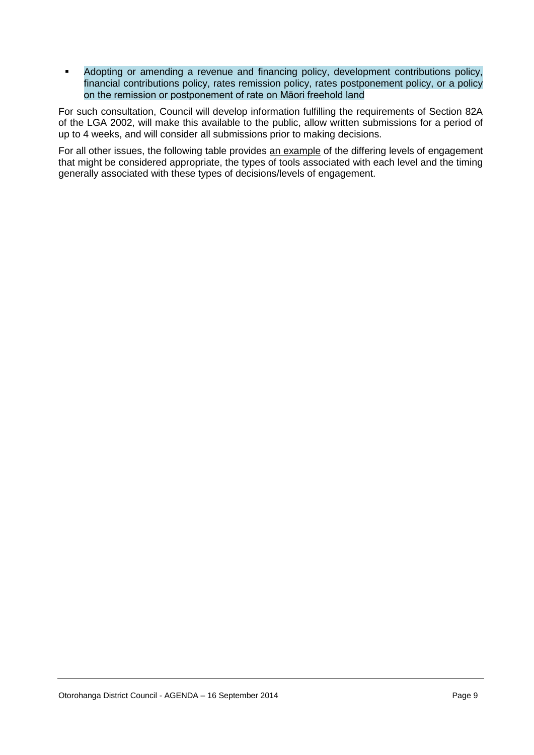• Adopting or amending a revenue and financing policy, development contributions policy, financial contributions policy, rates remission policy, rates postponement policy, or a policy on the remission or postponement of rate on Māori freehold land

For such consultation, Council will develop information fulfilling the requirements of Section 82A of the LGA 2002, will make this available to the public, allow written submissions for a period of up to 4 weeks, and will consider all submissions prior to making decisions.

For all other issues, the following table provides an example of the differing levels of engagement that might be considered appropriate, the types of tools associated with each level and the timing generally associated with these types of decisions/levels of engagement.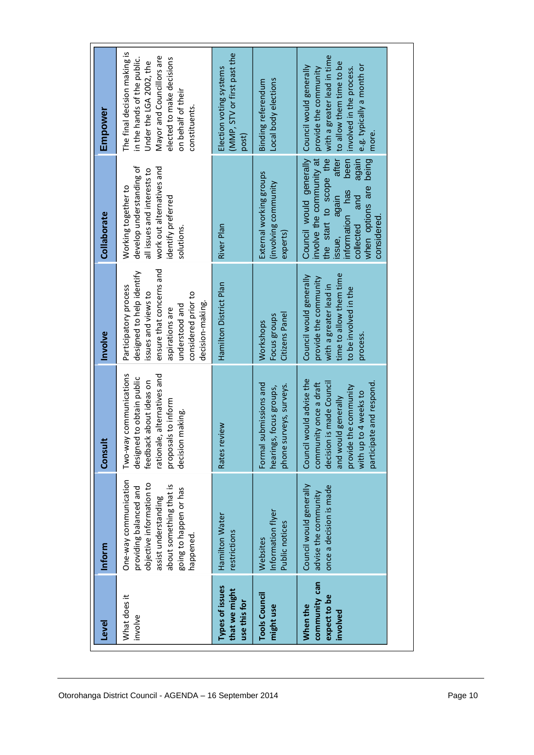| Level                                                 | Inform                                                                                                                                                                | Consult                                                                                                                                                                                | Involve                                                                                                                                                                               | Collaborate                                                                                                                                                                                                   | Empower                                                                                                                                                                                 |
|-------------------------------------------------------|-----------------------------------------------------------------------------------------------------------------------------------------------------------------------|----------------------------------------------------------------------------------------------------------------------------------------------------------------------------------------|---------------------------------------------------------------------------------------------------------------------------------------------------------------------------------------|---------------------------------------------------------------------------------------------------------------------------------------------------------------------------------------------------------------|-----------------------------------------------------------------------------------------------------------------------------------------------------------------------------------------|
| What does it<br>involve                               | One-way communication<br>objective information to<br>about something that is<br>providing balanced and<br>going to happen or has<br>assist understanding<br>happened. | Two-way communications<br>rationale, alternatives and<br>designed to obtain public<br>feedback about ideas on<br>proposals to inform<br>decision making.                               | ensure that concerns and<br>designed to help identify<br>Participatory process<br>issues and views to<br>considered prior to<br>decision-making.<br>understood and<br>aspirations are | develop understanding of<br>work out alternatives and<br>all issues and interests to<br>Working together to<br>identify preferred<br>solutions.                                                               | The final decision making is<br>Mayor and Councillors are<br>elected to make decisions<br>in the hands of the public.<br>Under the LGA 2002, the<br>on behalf of their<br>constituents. |
| Types of issues<br>that we might<br>use this for      | Hamilton Water<br>restrictions                                                                                                                                        | Rates review                                                                                                                                                                           | Hamilton District Plan                                                                                                                                                                | River Plan                                                                                                                                                                                                    | (MMP, STV or first past the<br>Election voting systems<br>post)                                                                                                                         |
| <b>Tools Council</b><br>might use                     | Information flyer<br>Public notices<br>Websites                                                                                                                       | submissions and<br>phone surveys, surveys.<br>hearings, focus groups,<br>Formal                                                                                                        | Citizens Panel<br>Focus groups<br><b>Workshops</b>                                                                                                                                    | External working groups<br>(involving community<br>experts)                                                                                                                                                   | Local body elections<br>Binding referendum                                                                                                                                              |
| community can<br>expect to be<br>When the<br>involved | Council would generally<br>once a decision is made<br>advise the community                                                                                            | would advise the<br>decision is made Council<br>participate and respond.<br>community once a draft<br>provide the community<br>with up to 4 weeks to<br>and would generally<br>Council | time to allow them time<br>Council would generally<br>provide the community<br>with a greater lead in<br>to be involved in the<br>process.                                            | Council would generally<br>the start to scope the<br>involve the community at<br>been<br>after<br>again<br>being<br>when options are<br>information has<br>again<br>and<br>considered.<br>collected<br>issue, | with a greater lead in time<br>to allow them time to be<br>e.g. typically a month or<br>Council would generally<br>involved in the process.<br>provide the community<br>more.           |
|                                                       |                                                                                                                                                                       |                                                                                                                                                                                        |                                                                                                                                                                                       |                                                                                                                                                                                                               |                                                                                                                                                                                         |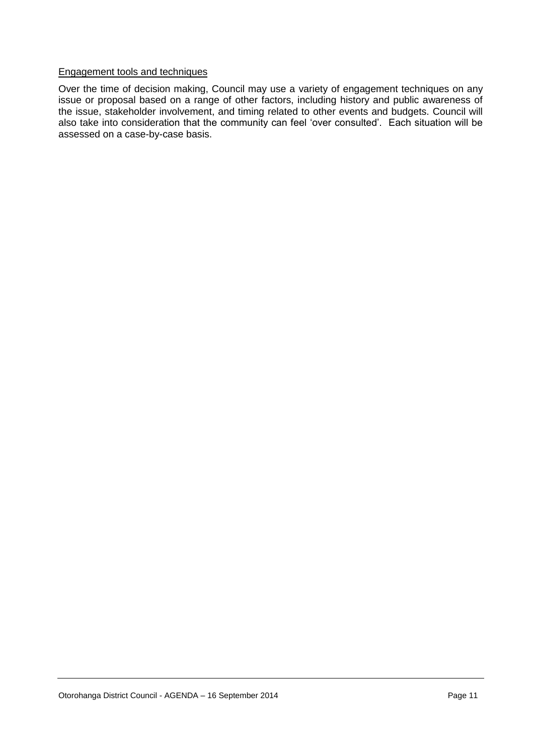#### Engagement tools and techniques

Over the time of decision making, Council may use a variety of engagement techniques on any issue or proposal based on a range of other factors, including history and public awareness of the issue, stakeholder involvement, and timing related to other events and budgets. Council will also take into consideration that the community can feel 'over consulted'. Each situation will be assessed on a case-by-case basis.